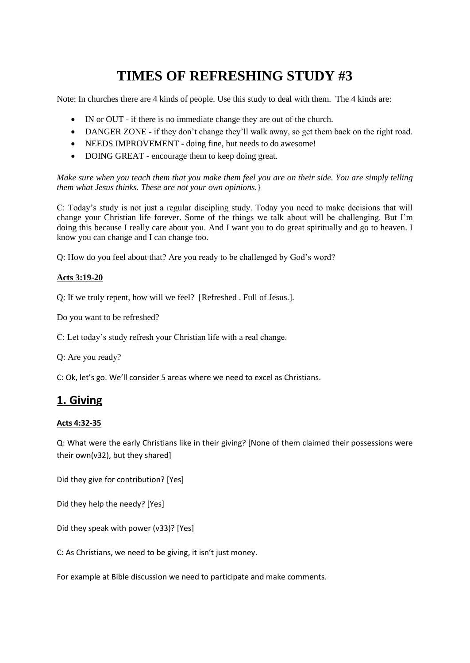# **TIMES OF REFRESHING STUDY #3**

Note: In churches there are 4 kinds of people. Use this study to deal with them. The 4 kinds are:

- IN or OUT if there is no immediate change they are out of the church.
- DANGER ZONE if they don't change they'll walk away, so get them back on the right road.
- NEEDS IMPROVEMENT doing fine, but needs to do awesome!
- DOING GREAT encourage them to keep doing great.

*Make sure when you teach them that you make them feel you are on their side. You are simply telling them what Jesus thinks. These are not your own opinions.*}

C: Today's study is not just a regular discipling study. Today you need to make decisions that will change your Christian life forever. Some of the things we talk about will be challenging. But I'm doing this because I really care about you. And I want you to do great spiritually and go to heaven. I know you can change and I can change too.

Q: How do you feel about that? Are you ready to be challenged by God's word?

#### **Acts 3:19-20**

Q: If we truly repent, how will we feel? [Refreshed . Full of Jesus.].

Do you want to be refreshed?

C: Let today's study refresh your Christian life with a real change.

Q: Are you ready?

C: Ok, let's go. We'll consider 5 areas where we need to excel as Christians.

### **1. Giving**

### **Acts 4:32-35**

Q: What were the early Christians like in their giving? [None of them claimed their possessions were their own(v32), but they shared]

Did they give for contribution? [Yes]

Did they help the needy? [Yes]

Did they speak with power (v33)? [Yes]

C: As Christians, we need to be giving, it isn't just money.

For example at Bible discussion we need to participate and make comments.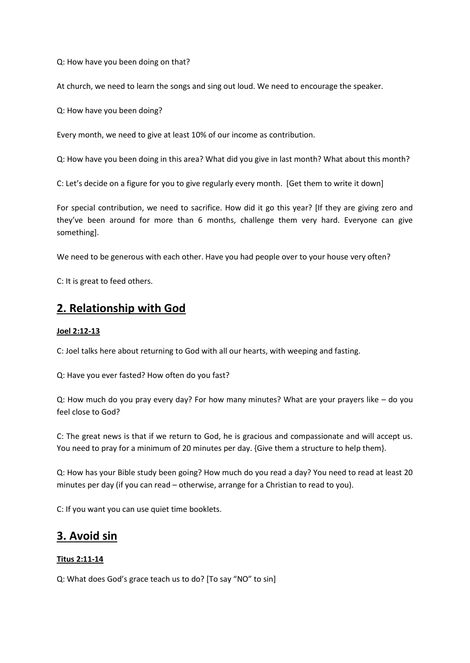Q: How have you been doing on that?

At church, we need to learn the songs and sing out loud. We need to encourage the speaker.

Q: How have you been doing?

Every month, we need to give at least 10% of our income as contribution.

Q: How have you been doing in this area? What did you give in last month? What about this month?

C: Let's decide on a figure for you to give regularly every month. [Get them to write it down]

For special contribution, we need to sacrifice. How did it go this year? [If they are giving zero and they've been around for more than 6 months, challenge them very hard. Everyone can give something].

We need to be generous with each other. Have you had people over to your house very often?

C: It is great to feed others.

### **2. Relationship with God**

#### **Joel 2:12-13**

C: Joel talks here about returning to God with all our hearts, with weeping and fasting.

Q: Have you ever fasted? How often do you fast?

Q: How much do you pray every day? For how many minutes? What are your prayers like – do you feel close to God?

C: The great news is that if we return to God, he is gracious and compassionate and will accept us. You need to pray for a minimum of 20 minutes per day. {Give them a structure to help them}.

Q: How has your Bible study been going? How much do you read a day? You need to read at least 20 minutes per day (if you can read – otherwise, arrange for a Christian to read to you).

C: If you want you can use quiet time booklets.

# **3. Avoid sin**

### **Titus 2:11-14**

Q: What does God's grace teach us to do? [To say "NO" to sin]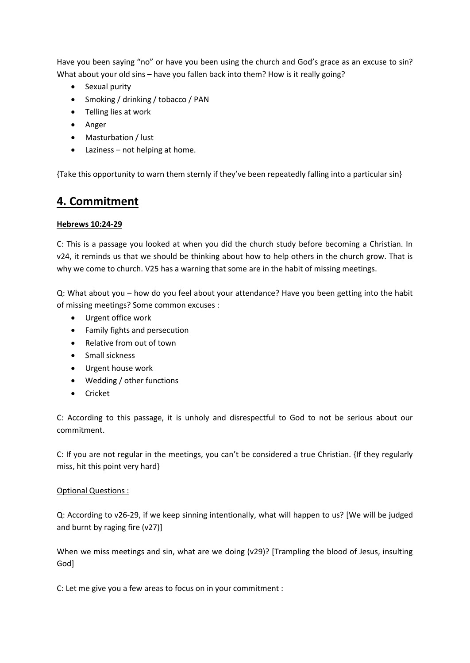Have you been saying "no" or have you been using the church and God's grace as an excuse to sin? What about your old sins – have you fallen back into them? How is it really going?

- Sexual purity
- Smoking / drinking / tobacco / PAN
- Telling lies at work
- Anger
- Masturbation / lust
- Laziness not helping at home.

{Take this opportunity to warn them sternly if they've been repeatedly falling into a particular sin}

### **4. Commitment**

#### **Hebrews 10:24-29**

C: This is a passage you looked at when you did the church study before becoming a Christian. In v24, it reminds us that we should be thinking about how to help others in the church grow. That is why we come to church. V25 has a warning that some are in the habit of missing meetings.

Q: What about you – how do you feel about your attendance? Have you been getting into the habit of missing meetings? Some common excuses :

- Urgent office work
- Family fights and persecution
- Relative from out of town
- Small sickness
- Urgent house work
- Wedding / other functions
- Cricket

C: According to this passage, it is unholy and disrespectful to God to not be serious about our commitment.

C: If you are not regular in the meetings, you can't be considered a true Christian. {If they regularly miss, hit this point very hard}

### Optional Questions :

Q: According to v26-29, if we keep sinning intentionally, what will happen to us? [We will be judged and burnt by raging fire (v27)]

When we miss meetings and sin, what are we doing (v29)? [Trampling the blood of Jesus, insulting God]

C: Let me give you a few areas to focus on in your commitment :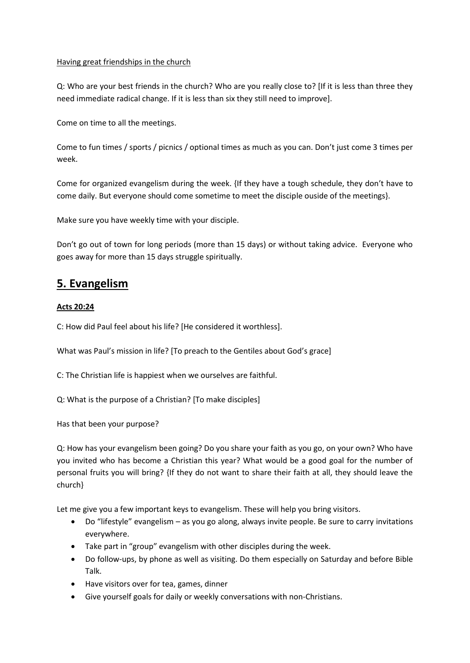#### Having great friendships in the church

Q: Who are your best friends in the church? Who are you really close to? [If it is less than three they need immediate radical change. If it is less than six they still need to improve].

Come on time to all the meetings.

Come to fun times / sports / picnics / optional times as much as you can. Don't just come 3 times per week.

Come for organized evangelism during the week. {If they have a tough schedule, they don't have to come daily. But everyone should come sometime to meet the disciple ouside of the meetings}.

Make sure you have weekly time with your disciple.

Don't go out of town for long periods (more than 15 days) or without taking advice. Everyone who goes away for more than 15 days struggle spiritually.

## **5. Evangelism**

### **Acts 20:24**

C: How did Paul feel about his life? [He considered it worthless].

What was Paul's mission in life? [To preach to the Gentiles about God's grace]

C: The Christian life is happiest when we ourselves are faithful.

Q: What is the purpose of a Christian? [To make disciples]

Has that been your purpose?

Q: How has your evangelism been going? Do you share your faith as you go, on your own? Who have you invited who has become a Christian this year? What would be a good goal for the number of personal fruits you will bring? {If they do not want to share their faith at all, they should leave the church}

Let me give you a few important keys to evangelism. These will help you bring visitors.

- Do "lifestyle" evangelism as you go along, always invite people. Be sure to carry invitations everywhere.
- Take part in "group" evangelism with other disciples during the week.
- Do follow-ups, by phone as well as visiting. Do them especially on Saturday and before Bible Talk.
- Have visitors over for tea, games, dinner
- Give yourself goals for daily or weekly conversations with non-Christians.